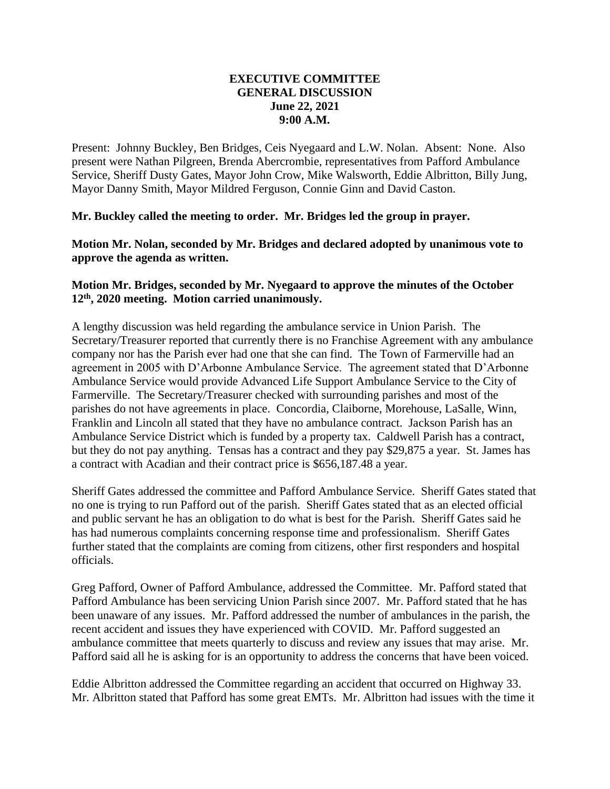## **EXECUTIVE COMMITTEE GENERAL DISCUSSION June 22, 2021 9:00 A.M.**

Present: Johnny Buckley, Ben Bridges, Ceis Nyegaard and L.W. Nolan. Absent: None. Also present were Nathan Pilgreen, Brenda Abercrombie, representatives from Pafford Ambulance Service, Sheriff Dusty Gates, Mayor John Crow, Mike Walsworth, Eddie Albritton, Billy Jung, Mayor Danny Smith, Mayor Mildred Ferguson, Connie Ginn and David Caston.

## **Mr. Buckley called the meeting to order. Mr. Bridges led the group in prayer.**

**Motion Mr. Nolan, seconded by Mr. Bridges and declared adopted by unanimous vote to approve the agenda as written.**

## **Motion Mr. Bridges, seconded by Mr. Nyegaard to approve the minutes of the October 12th, 2020 meeting. Motion carried unanimously.**

A lengthy discussion was held regarding the ambulance service in Union Parish. The Secretary/Treasurer reported that currently there is no Franchise Agreement with any ambulance company nor has the Parish ever had one that she can find. The Town of Farmerville had an agreement in 2005 with D'Arbonne Ambulance Service. The agreement stated that D'Arbonne Ambulance Service would provide Advanced Life Support Ambulance Service to the City of Farmerville. The Secretary/Treasurer checked with surrounding parishes and most of the parishes do not have agreements in place. Concordia, Claiborne, Morehouse, LaSalle, Winn, Franklin and Lincoln all stated that they have no ambulance contract. Jackson Parish has an Ambulance Service District which is funded by a property tax. Caldwell Parish has a contract, but they do not pay anything. Tensas has a contract and they pay \$29,875 a year. St. James has a contract with Acadian and their contract price is \$656,187.48 a year.

Sheriff Gates addressed the committee and Pafford Ambulance Service. Sheriff Gates stated that no one is trying to run Pafford out of the parish. Sheriff Gates stated that as an elected official and public servant he has an obligation to do what is best for the Parish. Sheriff Gates said he has had numerous complaints concerning response time and professionalism. Sheriff Gates further stated that the complaints are coming from citizens, other first responders and hospital officials.

Greg Pafford, Owner of Pafford Ambulance, addressed the Committee. Mr. Pafford stated that Pafford Ambulance has been servicing Union Parish since 2007. Mr. Pafford stated that he has been unaware of any issues. Mr. Pafford addressed the number of ambulances in the parish, the recent accident and issues they have experienced with COVID. Mr. Pafford suggested an ambulance committee that meets quarterly to discuss and review any issues that may arise. Mr. Pafford said all he is asking for is an opportunity to address the concerns that have been voiced.

Eddie Albritton addressed the Committee regarding an accident that occurred on Highway 33. Mr. Albritton stated that Pafford has some great EMTs. Mr. Albritton had issues with the time it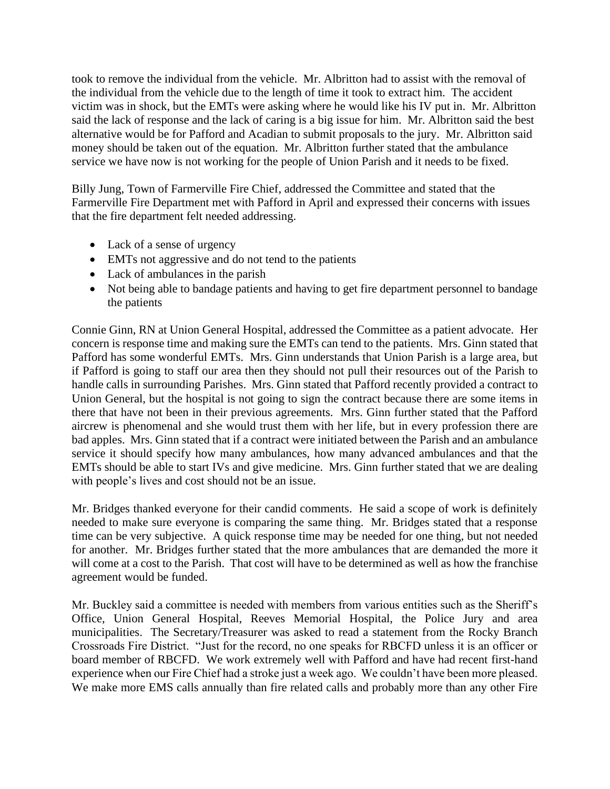took to remove the individual from the vehicle. Mr. Albritton had to assist with the removal of the individual from the vehicle due to the length of time it took to extract him. The accident victim was in shock, but the EMTs were asking where he would like his IV put in. Mr. Albritton said the lack of response and the lack of caring is a big issue for him. Mr. Albritton said the best alternative would be for Pafford and Acadian to submit proposals to the jury. Mr. Albritton said money should be taken out of the equation. Mr. Albritton further stated that the ambulance service we have now is not working for the people of Union Parish and it needs to be fixed.

Billy Jung, Town of Farmerville Fire Chief, addressed the Committee and stated that the Farmerville Fire Department met with Pafford in April and expressed their concerns with issues that the fire department felt needed addressing.

- Lack of a sense of urgency
- EMTs not aggressive and do not tend to the patients
- Lack of ambulances in the parish
- Not being able to bandage patients and having to get fire department personnel to bandage the patients

Connie Ginn, RN at Union General Hospital, addressed the Committee as a patient advocate. Her concern is response time and making sure the EMTs can tend to the patients. Mrs. Ginn stated that Pafford has some wonderful EMTs. Mrs. Ginn understands that Union Parish is a large area, but if Pafford is going to staff our area then they should not pull their resources out of the Parish to handle calls in surrounding Parishes. Mrs. Ginn stated that Pafford recently provided a contract to Union General, but the hospital is not going to sign the contract because there are some items in there that have not been in their previous agreements. Mrs. Ginn further stated that the Pafford aircrew is phenomenal and she would trust them with her life, but in every profession there are bad apples. Mrs. Ginn stated that if a contract were initiated between the Parish and an ambulance service it should specify how many ambulances, how many advanced ambulances and that the EMTs should be able to start IVs and give medicine. Mrs. Ginn further stated that we are dealing with people's lives and cost should not be an issue.

Mr. Bridges thanked everyone for their candid comments. He said a scope of work is definitely needed to make sure everyone is comparing the same thing. Mr. Bridges stated that a response time can be very subjective. A quick response time may be needed for one thing, but not needed for another. Mr. Bridges further stated that the more ambulances that are demanded the more it will come at a cost to the Parish. That cost will have to be determined as well as how the franchise agreement would be funded.

Mr. Buckley said a committee is needed with members from various entities such as the Sheriff's Office, Union General Hospital, Reeves Memorial Hospital, the Police Jury and area municipalities. The Secretary/Treasurer was asked to read a statement from the Rocky Branch Crossroads Fire District. "Just for the record, no one speaks for RBCFD unless it is an officer or board member of RBCFD. We work extremely well with Pafford and have had recent first-hand experience when our Fire Chief had a stroke just a week ago. We couldn't have been more pleased. We make more EMS calls annually than fire related calls and probably more than any other Fire